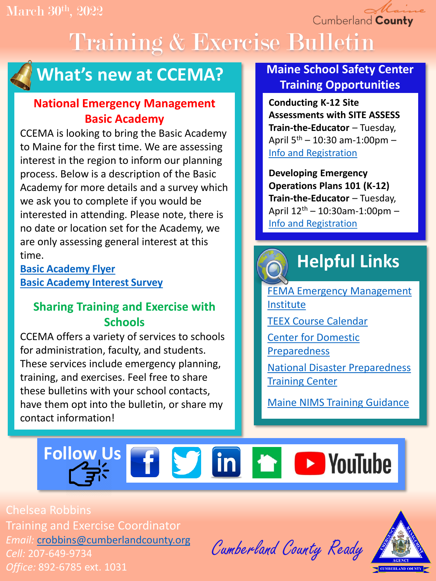Cumberland County

# Training & Exercise Bulletin



## **What's new at CCEMA?**

## **National Emergency Management Basic Academy**

CCEMA is looking to bring the Basic Academy to Maine for the first time. We are assessing interest in the region to inform our planning process. Below is a description of the Basic Academy for more details and a survey which we ask you to complete if you would be interested in attending. Please note, there is no date or location set for the Academy, we are only assessing general interest at this time.

**[Basic Academy Flyer](https://drive.google.com/file/d/1UjV_5PMJCPYcing_Z7N7oUiKHaBPetCm/view?usp=sharing) [Basic Academy Interest Survey](https://docs.google.com/forms/d/e/1FAIpQLSdz3jb36IBDgSb563uPUoT4bKwAlq7tNXTIS8YEfHQpwk-i-g/viewform?usp=sf_link)**

## **Sharing Training and Exercise with Schools**

CCEMA offers a variety of services to schools for administration, faculty, and students. These services include emergency planning, training, and exercises. Feel free to share these bulletins with your school contacts, have them opt into the bulletin, or share my contact information!

## **Maine School Safety Center Training Opportunities**

**Conducting K-12 Site Assessments with SITE ASSESS Train-the-Educator** – Tuesday, April  $5^{th}$  – 10:30 am-1:00pm – [Info and Registration](https://drive.google.com/file/d/1UexTGIyCMPRIUDU-NLkWG10HLVQ2vchL/view?usp=sharing)

**Developing Emergency Operations Plans 101 (K-12) Train-the-Educator – Tuesday,** April  $12^{th}$  – 10:30am-1:00pm – [Info and Registration](https://drive.google.com/file/d/1EqO-rnl0CDf93ie4GLkiYHd_7ygS3826/view?usp=sharing)

# **Helpful Links**

[FEMA Emergency Management](https://training.fema.gov/is/) Institute [TEEX Course Calendar](https://teex.org/course-calendar/)

[Center for Domestic](https://cdp.dhs.gov/) 

Preparedness

[National Disaster Preparedness](https://ndptc.hawaii.edu/training/)  Training Center

[Maine NIMS Training Guidance](https://drive.google.com/file/d/1hLGpscMz29JE8gGn6yRbW_ZueEg6mWH1/view?usp=sharing)

# Follow Us **f S** in **h D** YouTube

Chelsea Robbins Training and Exercise Coordinator *Email:* [crobbins@cumberlandcounty.org](mailto:crobbins@cumberlandcounty.org) *Cell:* 207-649-9734 *Office:* 892-6785 ext. 1031

Cumberland County Ready